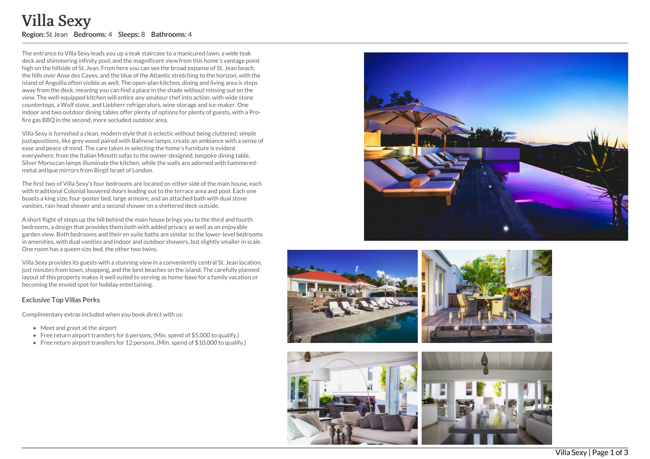The entrance to Villa Sexy leads you up a teak staircase to a manicured lawn, a wide teak deck and shimmering infinity pool, and the magnificent view from this home's vantage point high on the hillside of St. Jean. From here you can see the broad expanse of St. Jean beach, the hills over Anse des Cayes, and the blue of the Atlantic stretching to the horizon, with th e island of Anguilla often visible as well. The open-plan kitchen, dining and living area is steps away from the deck, meaning you can find a place in the shade without missing out on the view. The well-equipped kitchen will entice any amateur chef into action, with wide stone countertops, a Wolf stove, and Liebherr refrigerators, wine storage and ice-maker. One indoor and two outdoor dining tables offer plenty of options for plenty of guests, with a Pro fire gas BBQ in the second, more secluded outdoor area. **Villa Sexy Keeps:** 8 **Bathrooms:** 4 **Sleeps:** 8 **Bathrooms:** 4<br>The entrance to Villa Sexy leads you up a teak staircase to a manicured lawn, a wide teaks and shimmering infinity pool, and the magifican view from this home

Villa Sexy is furnished a clean, modern style that is eclectic without being cluttered: simple juxtapositions, like grey wood paired with Balinese lamps, create an ambiance with a sense o f ease and peace of mind. The care taken in selecting the home's furniture is evident everywhere, from the Italian Minotti sofas to the owner-designed, bespoke dining table. Silver Moroccan lamps illuminate the kitchen, while the walls are adorned with hammere d metal antique mirrors from Birgit Israel of London.

The first two of Villa Sexy's four bedrooms are located on either side of the main house, each with traditional Colonial louvered doors leading out to the terrace area and pool. Each one boasts a king size, four-poster bed, large armoire, and an attached bath with dual stone vanities, rain head shower and a second shower on a sheltered deck outside.

A short flight of steps up the hill behind the main house brings you to the third and fourth bedrooms, a design that provides them both with added privacy as well as an enjoyable garden view. Both bedrooms and their en suite baths are similar to the lower-level bedrooms in amenities, with dual vanities and indoor and outdoor showers, but slightly smaller in scale. One room has a queen size bed, the other two twins.

Villa Sexy provides its guests with a stunning view in a conveniently central St. Jean location, just minutes from town, shopping, and the best beaches on the island. The carefully planned layout of this property makes it well suited to serving as home-base for a family vacation or becoming the envied spot for holiday entertaining.

## Exclusive Top Villas Perks

Complimentary extras included when you book direct with us:

- Meet and greet at the airport
- Free return airport transfers for 6 persons, (Min. spend of \$5,000 to qualify.)
- 





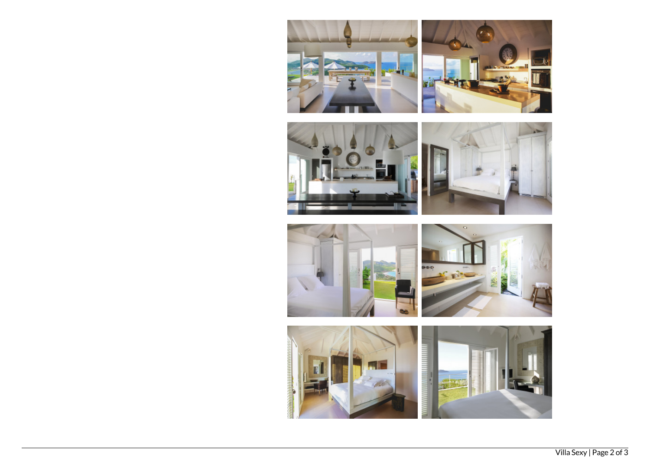